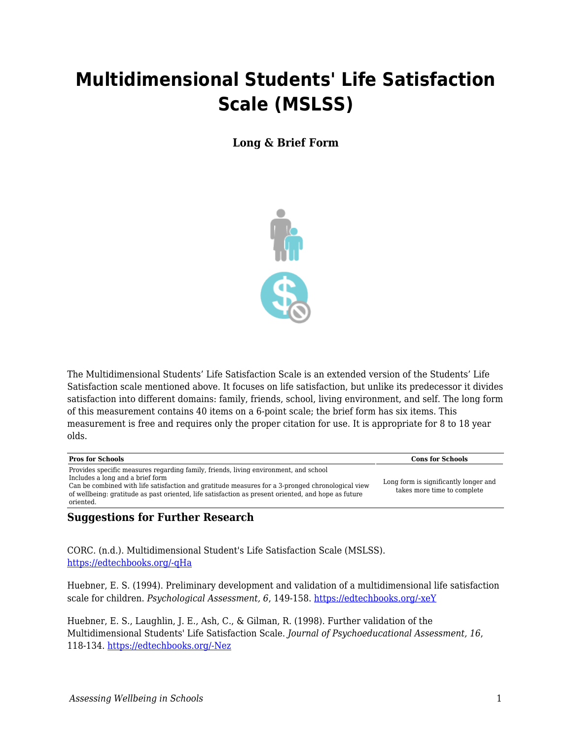## **Multidimensional Students' Life Satisfaction Scale (MSLSS)**

**Long & Brief Form**



The Multidimensional Students' Life Satisfaction Scale is an extended version of the Students' Life Satisfaction scale mentioned above. It focuses on life satisfaction, but unlike its predecessor it divides satisfaction into different domains: family, friends, school, living environment, and self. The long form of this measurement contains 40 items on a 6-point scale; the brief form has six items. This measurement is free and requires only the proper citation for use. It is appropriate for 8 to 18 year olds.

| Provides specific measures regarding family, friends, living environment, and school                                                                                                                                                                     |                                                                      |
|----------------------------------------------------------------------------------------------------------------------------------------------------------------------------------------------------------------------------------------------------------|----------------------------------------------------------------------|
| Includes a long and a brief form<br>Can be combined with life satisfaction and gratitude measures for a 3-pronged chronological view<br>of wellbeing: gratitude as past oriented, life satisfaction as present oriented, and hope as future<br>oriented. | Long form is significantly longer and<br>takes more time to complete |

## **Suggestions for Further Research**

CORC. (n.d.). Multidimensional Student's Life Satisfaction Scale (MSLSS). [https://edtechbooks.org/-qHa](https://www.corc.uk.net/outcome-experience-measures/multidimensional-students-life-satisfaction-scale-mslss/)

Huebner, E. S. (1994). Preliminary development and validation of a multidimensional life satisfaction scale for children. *Psychological Assessment, 6*, 149-158. [https://edtechbooks.org/-xeY](https://doi.org/10.1037/1040-3590.6.2.149)

Huebner, E. S., Laughlin, J. E., Ash, C., & Gilman, R. (1998). Further validation of the Multidimensional Students' Life Satisfaction Scale. *Journal of Psychoeducational Assessment, 16*, 118-134. [https://edtechbooks.org/-Nez](https://doi.org/10.1177/073428299801600202)